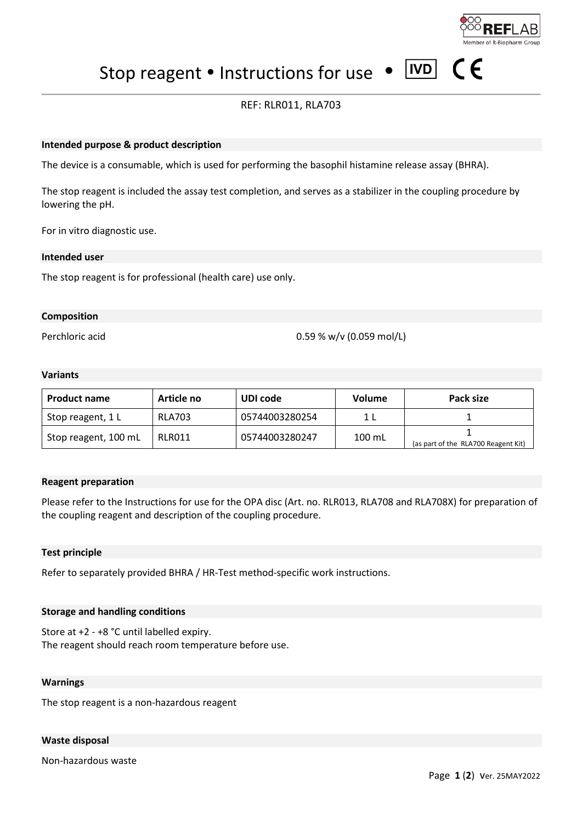

 $\epsilon$ 

 $\boxed{\text{IVD}}$ Stop reagent • Instructions for use •

# REF: RLR011, RLA703

## **Intended purpose & product description**

The device is a consumable, which is used for performing the basophil histamine release assay (BHRA).

The stop reagent is included the assay test completion, and serves as a stabilizer in the coupling procedure by lowering the pH.

For in vitro diagnostic use.

#### **Intended user**

The stop reagent is for professional (health care) use only.

## **Composition**

Perchloric acid 0.59 % w/v (0.059 mol/L)

## **Variants**

| <b>Product name</b>  | Article no    | UDI code       | <b>Volume</b>      | Pack size                           |
|----------------------|---------------|----------------|--------------------|-------------------------------------|
| Stop reagent, 1 L    | <b>RLA703</b> | 05744003280254 |                    |                                     |
| Stop reagent, 100 mL | RLR011        | 05744003280247 | $100 \mathrm{m}$ L | (as part of the RLA700 Reagent Kit) |

#### **Reagent preparation**

Please refer to the Instructions for use for the OPA disc (Art. no. RLR013, RLA708 and RLA708X) for preparation of the coupling reagent and description of the coupling procedure.

#### **Test principle**

Refer to separately provided BHRA / HR-Test method-specific work instructions.

#### **Storage and handling conditions**

Store at +2 - +8 °C until labelled expiry. The reagent should reach room temperature before use.

#### **Warnings**

The stop reagent is a non-hazardous reagent

#### **Waste disposal**

Non-hazardous waste